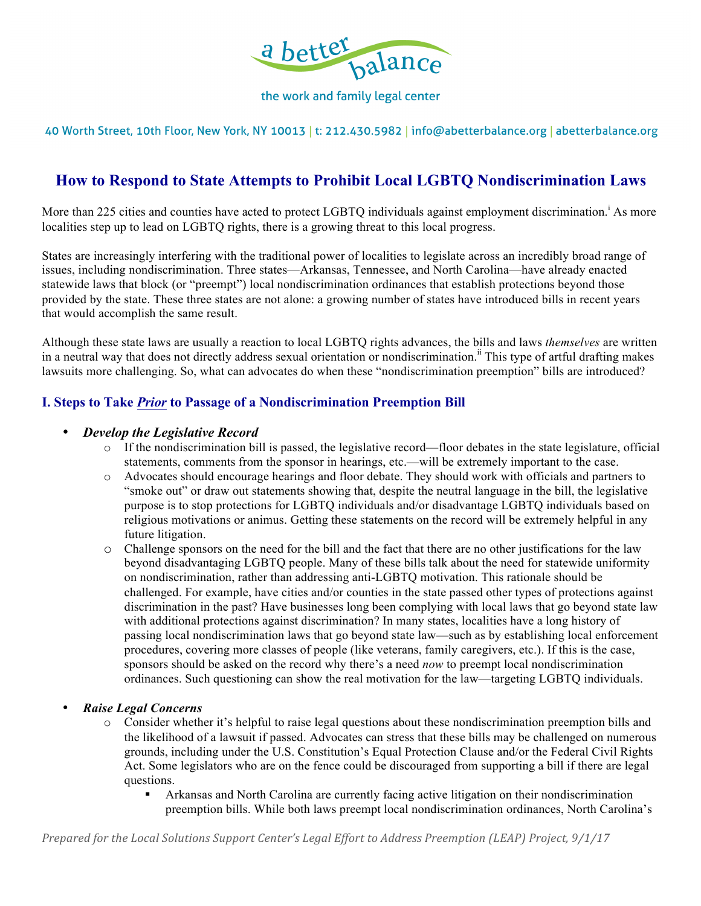

the work and family legal center

40 Worth Street, 10th Floor, New York, NY 10013 | t: 212.430.5982 | info@abetterbalance.org | abetterbalance.org

# **How to Respond to State Attempts to Prohibit Local LGBTQ Nondiscrimination Laws**

More than 225 cities and counties have acted to protect LGBTQ individuals against employment discrimination.<sup>i</sup> As more localities step up to lead on LGBTQ rights, there is a growing threat to this local progress.

States are increasingly interfering with the traditional power of localities to legislate across an incredibly broad range of issues, including nondiscrimination. Three states—Arkansas, Tennessee, and North Carolina—have already enacted statewide laws that block (or "preempt") local nondiscrimination ordinances that establish protections beyond those provided by the state. These three states are not alone: a growing number of states have introduced bills in recent years that would accomplish the same result.

Although these state laws are usually a reaction to local LGBTQ rights advances, the bills and laws *themselves* are written in a neutral way that does not directly address sexual orientation or nondiscrimination.<sup>ii</sup> This type of artful drafting makes lawsuits more challenging. So, what can advocates do when these "nondiscrimination preemption" bills are introduced?

## **I. Steps to Take** *Prior* **to Passage of a Nondiscrimination Preemption Bill**

#### • *Develop the Legislative Record*

- o If the nondiscrimination bill is passed, the legislative record—floor debates in the state legislature, official statements, comments from the sponsor in hearings, etc.—will be extremely important to the case.
- o Advocates should encourage hearings and floor debate. They should work with officials and partners to "smoke out" or draw out statements showing that, despite the neutral language in the bill, the legislative purpose is to stop protections for LGBTQ individuals and/or disadvantage LGBTQ individuals based on religious motivations or animus. Getting these statements on the record will be extremely helpful in any future litigation.
- o Challenge sponsors on the need for the bill and the fact that there are no other justifications for the law beyond disadvantaging LGBTQ people. Many of these bills talk about the need for statewide uniformity on nondiscrimination, rather than addressing anti-LGBTQ motivation. This rationale should be challenged. For example, have cities and/or counties in the state passed other types of protections against discrimination in the past? Have businesses long been complying with local laws that go beyond state law with additional protections against discrimination? In many states, localities have a long history of passing local nondiscrimination laws that go beyond state law—such as by establishing local enforcement procedures, covering more classes of people (like veterans, family caregivers, etc.). If this is the case, sponsors should be asked on the record why there's a need *now* to preempt local nondiscrimination ordinances. Such questioning can show the real motivation for the law—targeting LGBTQ individuals.
- *Raise Legal Concerns*
	- o Consider whether it's helpful to raise legal questions about these nondiscrimination preemption bills and the likelihood of a lawsuit if passed. Advocates can stress that these bills may be challenged on numerous grounds, including under the U.S. Constitution's Equal Protection Clause and/or the Federal Civil Rights Act. Some legislators who are on the fence could be discouraged from supporting a bill if there are legal questions.
		- ! Arkansas and North Carolina are currently facing active litigation on their nondiscrimination preemption bills. While both laws preempt local nondiscrimination ordinances, North Carolina's

*Prepared for the Local Solutions Support Center's Legal Effort to Address Preemption (LEAP) Project, 9/1/17*